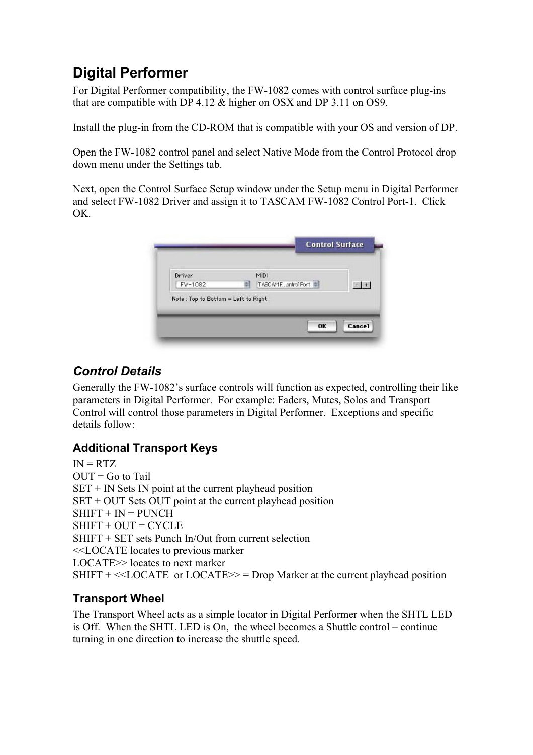# <span id="page-1-0"></span>**Digital Performer**

For Digital Performer compatibility, the FW-1082 comes with control surface plug-ins that are compatible with DP 4.12 & higher on OSX and DP 3.11 on OS9.

Install the plug-in from the CD-ROM that is compatible with your OS and version of DP.

Open the FW-1082 control panel and select Native Mode from the Control Protocol drop down menu under the Settings tab.

Next, open the Control Surface Setup window under the Setup menu in Digital Performer and select FW-1082 Driver and assign it to TASCAM FW-1082 Control Port-1. Click OK.

| Driver  |    | MIDI              |  |
|---------|----|-------------------|--|
| FW-1082 | аI | TASCAMEontrolPort |  |

# <span id="page-1-1"></span>*Control Details*

Generally the FW-1082's surface controls will function as expected, controlling their like parameters in Digital Performer. For example: Faders, Mutes, Solos and Transport Control will control those parameters in Digital Performer. Exceptions and specific details follow:

## **Additional Transport Keys**

 $IN = RTZ$  $OUT = Go$  to Tail  $SET + IN Sets IN point at the current plabeled position$ SET + OUT Sets OUT point at the current playhead position  $SHIFT + IN = PINCH$  $SHIFT + OUT = CYCLE$ SHIFT + SET sets Punch In/Out from current selection <<LOCATE locates to previous marker LOCATE>> locates to next marker SHIFT  $+ \ll$ LOCATE or LOCATE $\gg$  = Drop Marker at the current playhead position

## **Transport Wheel**

The Transport Wheel acts as a simple locator in Digital Performer when the SHTL LED is Off. When the SHTL LED is On, the wheel becomes a Shuttle control – continue turning in one direction to increase the shuttle speed.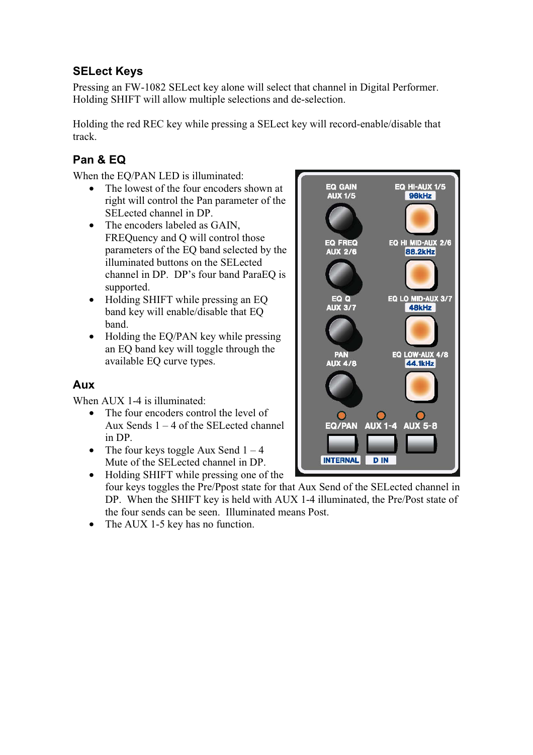## <span id="page-2-0"></span>**SELect Keys**

Pressing an FW-1082 SELect key alone will select that channel in Digital Performer. Holding SHIFT will allow multiple selections and de-selection.

Holding the red REC key while pressing a SELect key will record-enable/disable that track.

## <span id="page-2-1"></span>**Pan & EQ**

When the EQ/PAN LED is illuminated:

- The lowest of the four encoders shown at right will control the Pan parameter of the SELected channel in DP.
- The encoders labeled as GAIN. FREQuency and Q will control those parameters of the EQ band selected by the illuminated buttons on the SELected channel in DP. DP's four band ParaEQ is supported.
- Holding SHIFT while pressing an EQ band key will enable/disable that EQ band.
- Holding the EQ/PAN key while pressing an EQ band key will toggle through the available EQ curve types.

#### <span id="page-2-2"></span>**Aux**

When AUX 1-4 is illuminated:

- The four encoders control the level of Aux Sends  $1 - 4$  of the SEL ected channel in DP.
- The four keys toggle Aux Send  $1 4$ Mute of the SELected channel in DP.
- Holding SHIFT while pressing one of the four keys toggles the Pre/Ppost state for that Aux Send of the SELected channel in DP. When the SHIFT key is held with AUX 1-4 illuminated, the Pre/Post state of the four sends can be seen. Illuminated means Post.
- The AUX 1-5 key has no function.